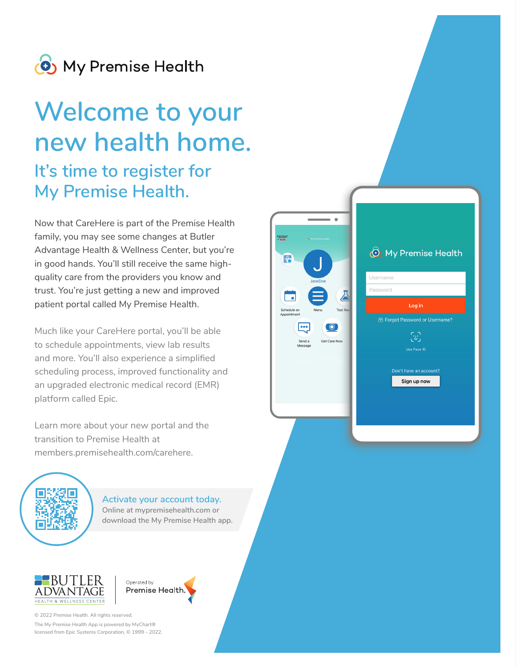

# **Welcome to your new health home.**

### **It's time to register for My Premise Health.**

Now that CareHere is part of the Premise Health family, you may see some changes at Butler Advantage Health & Wellness Center, but you're in good hands. You'll still receive the same highquality care from the providers you know and trust. You're just getting a new and improved patient portal called My Premise Health.

**(b)** My Premise Health

Log in 6 Forgot Password or Username?

윤

Use Face ID

Don't have an account? Sign up now

Username Password

 $\overline{\mathbb{A}}$ 

Get Care Now

**COL** 

.<br>Send a

Much like your CareHere portal, you'll be able to schedule appointments, view lab results and more. You'll also experience a simplified scheduling process, improved functionality and an upgraded electronic medical record (EMR) platform called Epic.

Learn more about your new portal and the transition to Premise Health at members.premisehealth.com/carehere.



**Activate your account today. Online at mypremisehealth.com or download the My Premise Health app.**





© 2022 Premise Health. All rights reserved.

The My Premise Health App is powered by MyChart® licensed from Epic Systems Corporation, © 1999 – 2022.